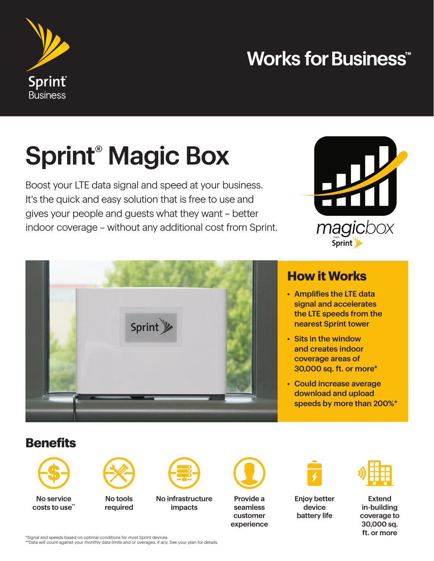

### **Works for Business<sup>\*\*</sup>**

# Sprint® Magic Box

Boost your LTE data signal and speed at your business. It's the quick and easy solution that is free to use and gives your people and guests what they want – better indoor coverage – without any additional cost from Sprint.





#### **How it Works**

- Amplifies the LTE data signal and accelerates the LTE speeds from the nearest Sprint tower
- Sits in the window and creates indoor coverage areas of 30,000 sq. ft. or more\*
- Could increase average download and upload speeds by more than 200%\*

### **Benefits**



No service costs to use\*\*



No tools required



No infrastructure impacts



Provide a seamless customer experience



Enjoy better device battery life



Extend in-building coverage to 30,000 sq. ft. or more

\*Signal and speeds based on optimal conditions for most Sprint devices

\*\*Data will count against your monthly data limits and or overages, if any. See your plan for details.